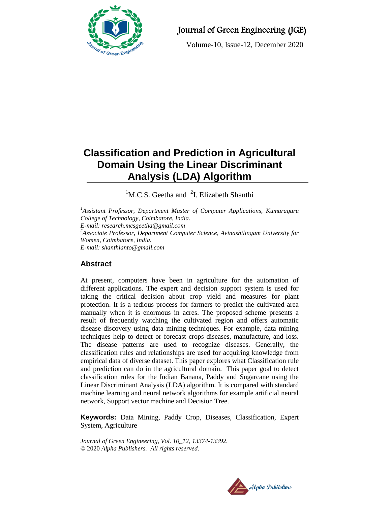

# Journal of Green Engineering (JGE)

Volume-10, Issue-12, December 2020

# **Classification and Prediction in Agricultural Domain Using the Linear Discriminant Analysis (LDA) Algorithm**

 ${}^{1}$ M.C.S. Geetha and  ${}^{2}$ I. Elizabeth Shanthi

*<sup>1</sup>Assistant Professor, Department Master of Computer Applications, Kumaraguru College of Technology, Coimbatore, India. E-mail: [research.mcsgeetha@gmail.com](mailto:research.mcsgeetha@gmail.com) <sup>2</sup>Associate Professor, Department Computer Science, Avinashilingam University for Women, Coimbatore, India. E-mail: [shanthianto@gmail.com](mailto:shanthianto@gmail.com)*

# **Abstract**

At present, computers have been in agriculture for the automation of different applications. The expert and decision support system is used for taking the critical decision about crop yield and measures for plant protection. It is a tedious process for farmers to predict the cultivated area manually when it is enormous in acres. The proposed scheme presents a result of frequently watching the cultivated region and offers automatic disease discovery using data mining techniques. For example, data mining techniques help to detect or forecast crops diseases, manufacture, and loss. The disease patterns are used to recognize diseases. Generally, the classification rules and relationships are used for acquiring knowledge from empirical data of diverse dataset. This paper explores what Classification rule and prediction can do in the agricultural domain. This paper goal to detect classification rules for the Indian Banana, Paddy and Sugarcane using the Linear Discriminant Analysis (LDA) algorithm. It is compared with standard machine learning and neural network algorithms for example artificial neural network, Support vector machine and Decision Tree.

**Keywords:** Data Mining, Paddy Crop, Diseases, Classification, Expert System, Agriculture

*Journal of Green Engineering, Vol. 10\_12, 13374-13392.* © 2020 *Alpha Publishers. All rights reserved.*

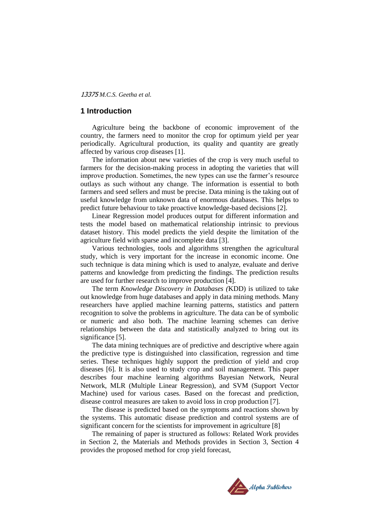#### **1 Introduction**

Agriculture being the backbone of economic improvement of the country, the farmers need to monitor the crop for optimum yield per year periodically. Agricultural production, its quality and quantity are greatly affected by various crop diseases [1].

The information about new varieties of the crop is very much useful to farmers for the decision-making process in adopting the varieties that will improve production. Sometimes, the new types can use the farmer's resource outlays as such without any change. The information is essential to both farmers and seed sellers and must be precise. Data mining is the taking out of useful knowledge from unknown data of enormous databases. This helps to predict future behaviour to take proactive knowledge-based decisions [2].

Linear Regression model produces output for different information and tests the model based on mathematical relationship intrinsic to previous dataset history. This model predicts the yield despite the limitation of the agriculture field with sparse and incomplete data [3].

Various technologies, tools and algorithms strengthen the agricultural study, which is very important for the increase in economic income. One such technique is data mining which is used to analyze, evaluate and derive patterns and knowledge from predicting the findings. The prediction results are used for further research to improve production [4].

The term *Knowledge Discovery in Databases (*KDD) is utilized to take out knowledge from huge databases and apply in data mining methods. Many researchers have applied machine learning patterns, statistics and pattern recognition to solve the problems in agriculture. The data can be of symbolic or numeric and also both. The machine learning schemes can derive relationships between the data and statistically analyzed to bring out its significance [5].

The data mining techniques are of predictive and descriptive where again the predictive type is distinguished into classification, regression and time series. These techniques highly support the prediction of yield and crop diseases [6]. It is also used to study crop and soil management. This paper describes four machine learning algorithms Bayesian Network, Neural Network, MLR (Multiple Linear Regression), and SVM (Support Vector Machine) used for various cases. Based on the forecast and prediction, disease control measures are taken to avoid loss in crop production [7].

The disease is predicted based on the symptoms and reactions shown by the systems. This automatic disease prediction and control systems are of significant concern for the scientists for improvement in agriculture [8]

The remaining of paper is structured as follows: Related Work provides in Section 2, the Materials and Methods provides in Section 3, Section 4 provides the proposed method for crop yield forecast,

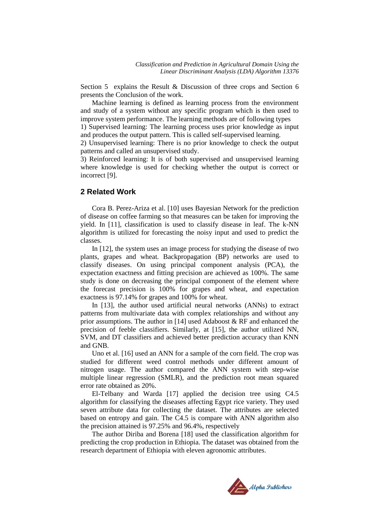Section 5 explains the Result & Discussion of three crops and Section 6 presents the Conclusion of the work.

Machine learning is defined as learning process from the environment and study of a system without any specific program which is then used to improve system performance. The learning methods are of following types

1) Supervised learning: The learning process uses prior knowledge as input and produces the output pattern. This is called self-supervised learning.

2) Unsupervised learning: There is no prior knowledge to check the output patterns and called an unsupervised study.

3) Reinforced learning: It is of both supervised and unsupervised learning where knowledge is used for checking whether the output is correct or incorrect [9].

# **2 Related Work**

Cora B. Perez-Ariza et al. [10] uses Bayesian Network for the prediction of disease on coffee farming so that measures can be taken for improving the yield. In [11], classification is used to classify disease in leaf. The k-NN algorithm is utilized for forecasting the noisy input and used to predict the classes.

In [12], the system uses an image process for studying the disease of two plants, grapes and wheat. Backpropagation (BP) networks are used to classify diseases. On using principal component analysis (PCA), the expectation exactness and fitting precision are achieved as 100%. The same study is done on decreasing the principal component of the element where the forecast precision is 100% for grapes and wheat, and expectation exactness is 97.14% for grapes and 100% for wheat.

In [13], the author used artificial neural networks (ANNs) to extract patterns from multivariate data with complex relationships and without any prior assumptions. The author in [14] used Adaboost  $\&$  RF and enhanced the precision of feeble classifiers. Similarly, at [15], the author utilized NN, SVM, and DT classifiers and achieved better prediction accuracy than KNN and GNB.

Uno et al. [16] used an ANN for a sample of the corn field. The crop was studied for different weed control methods under different amount of nitrogen usage. The author compared the ANN system with step-wise multiple linear regression (SMLR), and the prediction root mean squared error rate obtained as 20%.

El-Telbany and Warda [17] applied the decision tree using C4.5 algorithm for classifying the diseases affecting Egypt rice variety. They used seven attribute data for collecting the dataset. The attributes are selected based on entropy and gain. The C4.5 is compare with ANN algorithm also the precision attained is 97.25% and 96.4%, respectively

The author Diriba and Borena [18] used the classification algorithm for predicting the crop production in Ethiopia. The dataset was obtained from the research department of Ethiopia with eleven agronomic attributes.

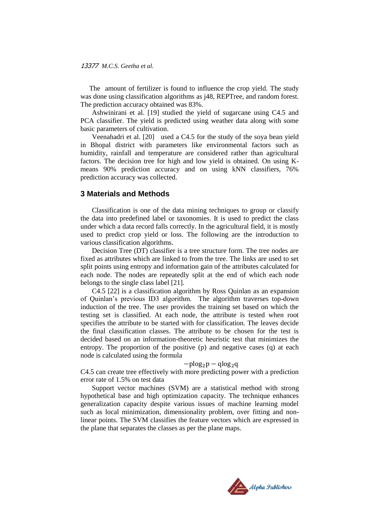The amount of fertilizer is found to influence the crop yield. The study was done using classification algorithms as j48, REPTree, and random forest. The prediction accuracy obtained was 83%.

Ashwinirani et al. [19] studied the yield of sugarcane using C4.5 and PCA classifier. The yield is predicted using weather data along with some basic parameters of cultivation.

Veenahadri et al. [20] used a C4.5 for the study of the soya bean yield in Bhopal district with parameters like environmental factors such as humidity, rainfall and temperature are considered rather than agricultural factors. The decision tree for high and low yield is obtained. On using Kmeans 90% prediction accuracy and on using kNN classifiers, 76% prediction accuracy was collected.

#### **3 Materials and Methods**

Classification is one of the data mining techniques to group or classify the data into predefined label or taxonomies. It is used to predict the class under which a data record falls correctly. In the agricultural field, it is mostly used to predict crop yield or loss. The following are the introduction to various classification algorithms.

Decision Tree (DT) classifier is a tree structure form. The tree nodes are fixed as attributes which are linked to from the tree. The links are used to set split points using entropy and information gain of the attributes calculated for each node. The nodes are repeatedly split at the end of which each node belongs to the single class label [21].

C4.5 [22] is a classification algorithm by Ross Quinlan as an expansion of Quinlan's previous ID3 algorithm. The algorithm traverses top-down induction of the tree. The user provides the training set based on which the testing set is classified. At each node, the attribute is tested when root specifies the attribute to be started with for classification. The leaves decide the final classification classes. The attribute to be chosen for the test is decided based on an information-theoretic heuristic test that minimizes the entropy. The proportion of the positive (p) and negative cases (q) at each node is calculated using the formula

#### $-\text{plog}_2\text{p} - \text{qlog}_2\text{q}$

C4.5 can create tree effectively with more predicting power with a prediction error rate of 1.5% on test data

Support vector machines (SVM) are a statistical method with strong hypothetical base and high optimization capacity. The technique enhances generalization capacity despite various issues of machine learning model such as local minimization, dimensionality problem, over fitting and nonlinear points. The SVM classifies the feature vectors which are expressed in the plane that separates the classes as per the plane maps.

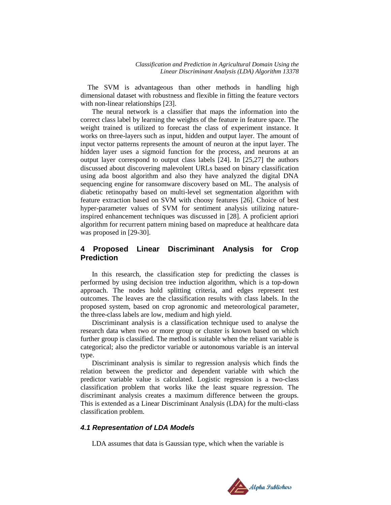The SVM is advantageous than other methods in handling high dimensional dataset with robustness and flexible in fitting the feature vectors with non-linear relationships [23].

The neural network is a classifier that maps the information into the correct class label by learning the weights of the feature in feature space. The weight trained is utilized to forecast the class of experiment instance. It works on three-layers such as input, hidden and output layer. The amount of input vector patterns represents the amount of neuron at the input layer. The hidden layer uses a sigmoid function for the process, and neurons at an output layer correspond to output class labels [24]. In [25,27] the authors discussed about discovering malevolent URLs based on binary classification using ada boost algorithm and also they have analyzed the digital DNA sequencing engine for ransomware discovery based on ML. The analysis of diabetic retinopathy based on multi-level set segmentation algorithm with feature extraction based on SVM with choosy features [26]. Choice of best hyper-parameter values of SVM for sentiment analysis utilizing natureinspired enhancement techniques was discussed in [28]. A proficient apriori algorithm for recurrent pattern mining based on mapreduce at healthcare data was proposed in [29-30].

# **4 Proposed Linear Discriminant Analysis for Crop Prediction**

In this research, the classification step for predicting the classes is performed by using decision tree induction algorithm, which is a top-down approach. The nodes hold splitting criteria, and edges represent test outcomes. The leaves are the classification results with class labels. In the proposed system, based on crop agronomic and meteorological parameter, the three-class labels are low, medium and high yield.

Discriminant analysis is a classification technique used to analyse the research data when two or more group or cluster is known based on which further group is classified. The method is suitable when the reliant variable is categorical; also the predictor variable or autonomous variable is an interval type.

Discriminant analysis is similar to regression analysis which finds the relation between the predictor and dependent variable with which the predictor variable value is calculated. Logistic regression is a two-class classification problem that works like the least square regression. The discriminant analysis creates a maximum difference between the groups. This is extended as a Linear Discriminant Analysis (LDA) for the multi-class classification problem.

# *4.1 Representation of LDA Models*

LDA assumes that data is Gaussian type, which when the variable is

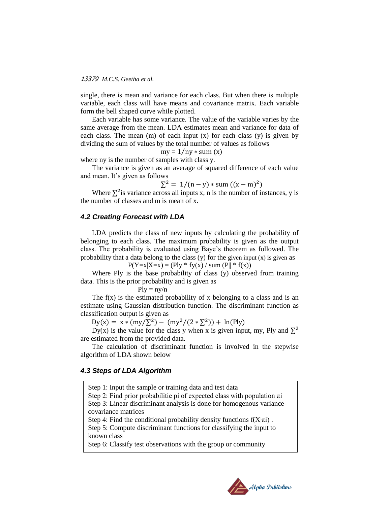single, there is mean and variance for each class. But when there is multiple variable, each class will have means and covariance matrix. Each variable form the bell shaped curve while plotted.

Each variable has some variance. The value of the variable varies by the same average from the mean. LDA estimates mean and variance for data of each class. The mean  $(m)$  of each input  $(x)$  for each class  $(y)$  is given by dividing the sum of values by the total number of values as follows

 $my = 1/ny * sum(x)$ 

where ny is the number of samples with class y.

The variance is given as an average of squared difference of each value and mean. It's given as follows

$$
\Sigma^2 = 1/(n-y) * sum ((x-m)^2)
$$

Where  $\sum^2$  is variance across all inputs x, n is the number of instances, y is the number of classes and m is mean of x.

#### *4.2 Creating Forecast with LDA*

LDA predicts the class of new inputs by calculating the probability of belonging to each class. The maximum probability is given as the output class. The probability is evaluated using Baye's theorem as followed. The probability that a data belong to the class  $(y)$  for the given input  $(x)$  is given as

 $P(Y=x|X=x) = (Ply * fy(x) / sum (P|| * f(x))$ 

Where Ply is the base probability of class (y) observed from training data. This is the prior probability and is given as

 $Ply = ny/n$ 

The  $f(x)$  is the estimated probability of x belonging to a class and is an estimate using Gaussian distribution function. The discriminant function as classification output is given as

 $\text{Dy(x)} = x * (my/\Sigma^2) - (my^2/(2 * \Sigma^2))$ 

Dy(x) is the value for the class y when x is given input, my, Ply and  $\Sigma^2$ are estimated from the provided data.

The calculation of discriminant function is involved in the stepwise algorithm of LDA shown below

#### *4.3 Steps of LDA Algorithm*

Step 1: Input the sample or training data and test data Step 2: Find prior probabilitie pi of expected class with population  $\pi$ i Step 3: Linear discriminant analysis is done for homogenous variancecovariance matrices Step 4: Find the conditional probability density functions  $f(X|\pi)$ . Step 5: Compute discriminant functions for classifying the input to known class Step 6: Classify test observations with the group or community

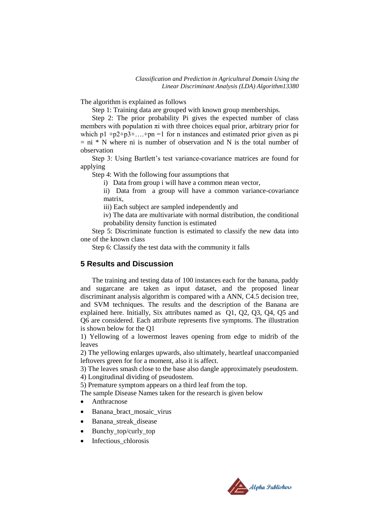The algorithm is explained as follows

Step 1: Training data are grouped with known group memberships.

Step 2: The prior probability Pi gives the expected number of class members with population  $\pi$  with three choices equal prior, arbitrary prior for which  $p1 + p2+p3+...+pn = 1$  for n instances and estimated prior given as pi  $=$  ni  $*$  N where ni is number of observation and N is the total number of observation

Step 3: Using Bartlett's test variance-covariance matrices are found for applying

Step 4: With the following four assumptions that

i) Data from group i will have a common mean vector,

ii) Data from a group will have a common variance-covariance matrix,

iii) Each subject are sampled independently and

iv) The data are multivariate with normal distribution, the conditional probability density function is estimated

Step 5: Discriminate function is estimated to classify the new data into one of the known class

Step 6: Classify the test data with the community it falls

# **5 Results and Discussion**

The training and testing data of 100 instances each for the banana, paddy and sugarcane are taken as input dataset, and the proposed linear discriminant analysis algorithm is compared with a ANN, C4.5 decision tree, and SVM techniques. The results and the description of the Banana are explained here. Initially, Six attributes named as Q1, Q2, Q3, Q4, Q5 and Q6 are considered. Each attribute represents five symptoms. The illustration is shown below for the Q1

1) Yellowing of a lowermost leaves opening from edge to midrib of the leaves

2) The yellowing enlarges upwards, also ultimately, heartleaf unaccompanied leftovers green for for a moment, also it is affect.

3) The leaves smash close to the base also dangle approximately pseudostem.

4) Longitudinal dividing of pseudostem.

5) Premature symptom appears on a third leaf from the top.

The sample Disease Names taken for the research is given below

- Anthracnose
- Banana bract mosaic virus
- Banana\_streak\_disease
- Bunchy\_top/curly\_top
- Infectious\_chlorosis

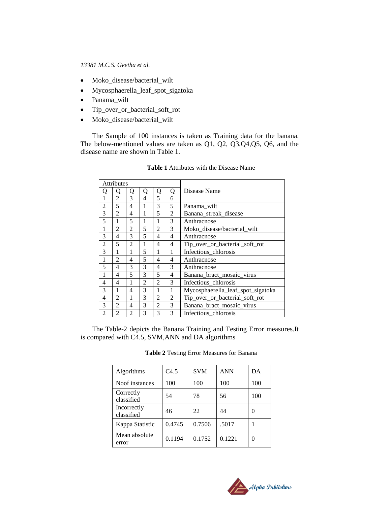- Moko\_disease/bacterial\_wilt
- Mycosphaerella\_leaf\_spot\_sigatoka
- Panama\_wilt
- Tip\_over\_or\_bacterial\_soft\_rot
- Moko\_disease/bacterial\_wilt

The Sample of 100 instances is taken as Training data for the banana. The below-mentioned values are taken as Q1, Q2, Q3,Q4,Q5, Q6, and the disease name are shown in Table 1.

|                | <b>Attributes</b> |                |                |                |   |                                   |
|----------------|-------------------|----------------|----------------|----------------|---|-----------------------------------|
| Q              | Q                 | Q              | Q              | Q              | Q | Disease Name                      |
|                | 2                 | $\mathcal{R}$  | 4              | 5              | 6 |                                   |
| $\mathfrak{D}$ | 5                 | 4              | 1              | 3              | 5 | Panama wilt                       |
| 3              | 2                 | 4              | 1              | 5              | 2 | Banana_streak_disease             |
| 5              | 1                 | 5              | 1              | 1              | 3 | Anthracnose                       |
| 1              | $\overline{2}$    | $\overline{c}$ | 5              | $\overline{c}$ | 3 | Moko disease/bacterial wilt       |
| 3              | 4                 | 3              | 5              | 4              | 4 | Anthracnose                       |
| $\overline{c}$ | 5                 | $\mathfrak{D}$ | 1              | 4              | 4 | Tip_over_or_bacterial_soft_rot    |
| 3              | 1                 | 1              | 5              | 1              | 1 | Infectious_chlorosis              |
| 1              | $\overline{2}$    | 4              | 5              | 4              | 4 | Anthracnose                       |
| 5              | 4                 | 3              | 3              | 4              | 3 | Anthracnose                       |
| 1              | 4                 | 5              | 3              | 5              | 4 | Banana_bract_mosaic_virus         |
| 4              | 4                 | 1              | $\overline{2}$ | $\overline{2}$ | 3 | Infectious_chlorosis              |
| 3              | 1                 | 4              | 3              | 1              | 1 | Mycosphaerella_leaf_spot_sigatoka |
| 4              | 2                 | 1              | 3              | $\overline{2}$ | 2 | Tip_over_or_bacterial_soft_rot    |
| 3              | $\mathfrak{D}$    | 4              | 3              | $\mathfrak{D}$ | 3 | Banana_bract_mosaic_virus         |
| 2              | 2                 | $\overline{c}$ | 3              | 3              | 3 | Infectious chlorosis              |

**Table 1** Attributes with the Disease Name

The Table-2 depicts the Banana Training and Testing Error measures.It is compared with C4.5, SVM,ANN and DA algorithms

| Algorithms                | C4.5   | <b>SVM</b> | <b>ANN</b> | DА       |
|---------------------------|--------|------------|------------|----------|
| Noof instances            | 100    | 100        | 100        | 100      |
| Correctly<br>classified   | 54     | 78         | 56         | 100      |
| Incorrectly<br>classified | 46     | 22         | 44         | 0        |
| Kappa Statistic           | 0.4745 | 0.7506     | .5017      |          |
| Mean absolute<br>error    | 0.1194 | 0.1752     | 0.1221     | $\theta$ |

**Table 2** Testing Error Measures for Banana

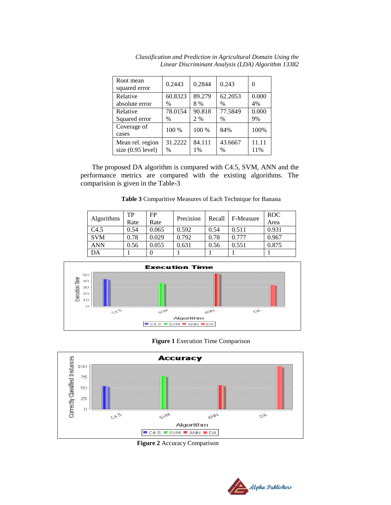| Root mean<br>squared error | 0.2443  | 0.2844 | 0.243   | $\Omega$ |
|----------------------------|---------|--------|---------|----------|
| Relative                   | 60.8323 | 89.279 | 62.2053 | 0.000    |
| absolute error             | $\%$    | 8 %    | $\%$    | 4%       |
| Relative                   | 78.0154 | 90.818 | 77.5849 | 0.000    |
| Squared error              | $\%$    | 2 %    | $\%$    | 9%       |
| Coverage of<br>cases       | 100 %   | 100 %  | 84%     | 100%     |
| Mean rel. region           | 31.2222 | 84.111 | 43.6667 | 11.11    |
| size $(0.95$ level)        | $\%$    | 1%     | $\%$    | 11%      |

*Classification and Prediction in Agricultural Domain Using the Linear Discriminant Analysis (LDA) Algorithm 13382*

The proposed DA algorithm is compared with C4.5, SVM, ANN and the performance metrics are compared with the existing algorithms. The comparision is given in the Table-3

|  | Table 3 Comparitive Measures of Each Technique for Banana |
|--|-----------------------------------------------------------|
|--|-----------------------------------------------------------|

| <b>Algorithms</b> | TP   | FP    | Precision | Recall | F-Measure | <b>ROC</b> |
|-------------------|------|-------|-----------|--------|-----------|------------|
|                   | Rate | Rate  |           |        |           | Area       |
| C4.5              | 0.54 | 0.065 | 0.592     | 0.54   | 0.511     | 0.931      |
| <b>SVM</b>        | 0.78 | 0.029 | 0.792     | 0.78   | 0.777     | 0.967      |
| <b>ANN</b>        | 0.56 | 0.055 | 0.631     | 0.56   | 0.551     | 0.875      |
| DA                |      |       |           |        |           |            |



#### **Figure 1** Execution Time Comparison



 **Figure 2** Accuracy Comparison

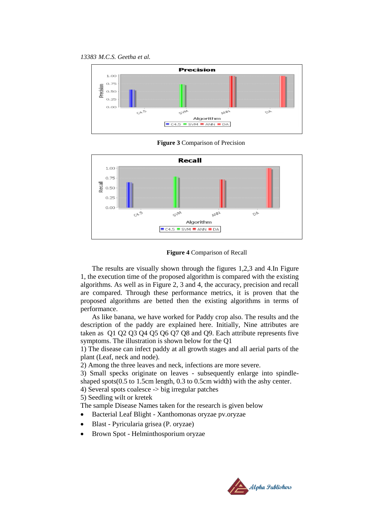*13383 M.C.S. Geetha et al.*



**Figure 3** Comparison of Precision



**Figure 4** Comparison of Recall

The results are visually shown through the figures 1,2,3 and 4.In Figure 1, the execution time of the proposed algorithm is compared with the existing algorithms. As well as in Figure 2, 3 and 4, the accuracy, precision and recall are compared. Through these performance metrics, it is proven that the proposed algorithms are betted then the existing algorithms in terms of performance.

As like banana, we have worked for Paddy crop also. The results and the description of the paddy are explained here. Initially, Nine attributes are taken as Q1 Q2 Q3 Q4 Q5 Q6 Q7 Q8 and Q9. Each attribute represents five symptoms. The illustration is shown below for the Q1

1) The disease can infect paddy at all growth stages and all aerial parts of the plant (Leaf, neck and node).

2) Among the three leaves and neck, infections are more severe.

3) Small specks originate on leaves - subsequently enlarge into spindleshaped spots(0.5 to 1.5cm length, 0.3 to 0.5cm width) with the ashy center.

4) Several spots coalesce -> big irregular patches

5) Seedling wilt or kretek

The sample Disease Names taken for the research is given below

- Bacterial Leaf Blight Xanthomonas oryzae pv.oryzae
- Blast Pyricularia grisea (P. oryzae)
- Brown Spot Helminthosporium oryzae

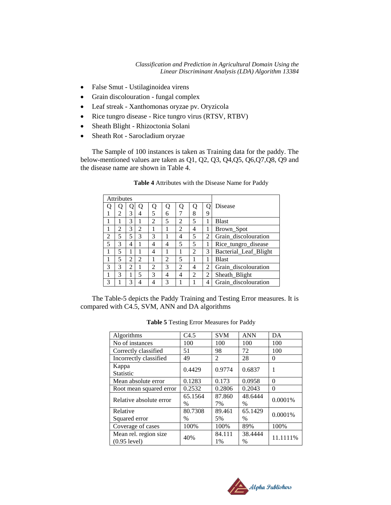- False Smut Ustilaginoidea virens
- Grain discolouration fungal complex
- Leaf streak Xanthomonas oryzae pv. Oryzicola
- Rice tungro disease Rice tungro virus (RTSV, RTBV)
- Sheath Blight Rhizoctonia Solani
- Sheath Rot Sarocladium oryzae

The Sample of 100 instances is taken as Training data for the paddy. The below-mentioned values are taken as Q1, Q2, Q3, Q4,Q5, Q6,Q7,Q8, Q9 and the disease name are shown in Table 4.

| <b>Attributes</b> |                |   |                |                |                |                |                |                |                       |
|-------------------|----------------|---|----------------|----------------|----------------|----------------|----------------|----------------|-----------------------|
|                   |                |   |                | Ų              |                | Q              | Ő              | Q              | Disease               |
|                   | 2              | 3 | 4              | 5              | 6              | $\tau$         | 8              | 9              |                       |
|                   |                | 3 |                | $\mathfrak{D}$ | 5              | $\overline{c}$ | 5              |                | Blast                 |
|                   | $\mathfrak{D}$ | 3 | $\mathfrak{D}$ |                |                | $\mathfrak{D}$ | 4              |                | Brown_Spot            |
| $\overline{2}$    | 5              | 5 | 3              | 3              |                | 4              | 5              | 2              | Grain_discolouration  |
| 5                 | 3              | 4 |                | 4              | 4              | 5              | 5              |                | Rice_tungro_disease   |
|                   | 5              |   |                | 4              |                |                | $\overline{c}$ | 3              | Bacterial_Leaf_Blight |
|                   | 5              | ↑ | $\overline{2}$ |                | $\overline{c}$ | 5              |                |                | <b>Blast</b>          |
| 3                 | 3              | 2 |                | $\overline{c}$ | 3              | $\overline{2}$ | 4              | 2              | Grain_discolouration  |
|                   | 3              |   | 5              | 3              | 4              | 4              | $\overline{c}$ | $\overline{c}$ | Sheath_Blight         |
| 3                 |                |   |                | 4              | 3              |                |                | 4              | Grain discolouration  |

**Table 4** Attributes with the Disease Name for Paddy

The Table-5 depicts the Paddy Training and Testing Error measures. It is compared with C4.5, SVM, ANN and DA algorithms

| Algorithms                              | C4.5            | <b>SVM</b>     | <b>ANN</b>      | DA       |  |
|-----------------------------------------|-----------------|----------------|-----------------|----------|--|
| No of instances                         | 100             | 100            | 100             | 100      |  |
| Correctly classified                    | 51              | 98             | 72              | 100      |  |
| Incorrectly classified                  | 49              | $\overline{c}$ | 28              | 0        |  |
| Kappa<br>Statistic                      | 0.4429          | 0.9774         | 0.6837          | 1        |  |
| Mean absolute error                     | 0.1283          | 0.173          | 0.0958          | $\Omega$ |  |
| Root mean squared error                 | 0.2532          | 0.2806         | 0.2043          | $\Omega$ |  |
| Relative absolute error                 | 65.1564<br>$\%$ | 87.860<br>7%   | 48.6444<br>$\%$ | 0.0001%  |  |
| Relative                                | 80.7308         | 89.461         | 65.1429         | 0.0001%  |  |
| Squared error                           | $\%$            | 5%             | $\%$            |          |  |
| Coverage of cases                       | 100%            | 100%           | 89%             | 100%     |  |
| Mean rel. region size<br>$(0.95$ level) | 40%             | 84.111<br>1%   | 38.4444<br>$\%$ | 11.1111% |  |

**Table 5** Testing Error Measures for Paddy

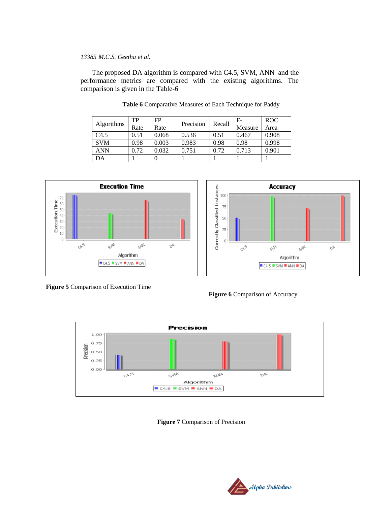The proposed DA algorithm is compared with C4.5, SVM, ANN and the performance metrics are compared with the existing algorithms. The comparison is given in the Table-6

|                   | TP   | FP    | Precision | Recall | $F-$    | <b>ROC</b> |
|-------------------|------|-------|-----------|--------|---------|------------|
| <b>Algorithms</b> | Rate | Rate  |           |        | Measure | Area       |
| C4.5              | 0.51 | 0.068 | 0.536     | 0.51   | 0.467   | 0.908      |
| <b>SVM</b>        | 0.98 | 0.003 | 0.983     | 0.98   | 0.98    | 0.998      |
| <b>ANN</b>        | 0.72 | 0.032 | 0.751     | 0.72   | 0.713   | 0.901      |
| DA                |      |       |           |        |         |            |

**Table 6** Comparative Measures of Each Technique for Paddy





**Figure 5** Comparison of Execution Time

**Figure 6** Comparison of Accuracy



**Figure 7** Comparison of Precision

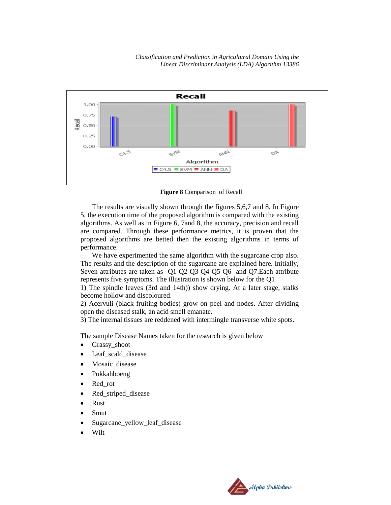*Classification and Prediction in Agricultural Domain Using the Linear Discriminant Analysis (LDA) Algorithm 13386*



**Figure 8** Comparison of Recall

The results are visually shown through the figures 5,6,7 and 8. In Figure 5, the execution time of the proposed algorithm is compared with the existing algorithms. As well as in Figure 6, 7and 8, the accuracy, precision and recall are compared. Through these performance metrics, it is proven that the proposed algorithms are betted then the existing algorithms in terms of performance.

We have experimented the same algorithm with the sugarcane crop also. The results and the description of the sugarcane are explained here. Initially, Seven attributes are taken as Q1 Q2 Q3 Q4 Q5 Q6 and Q7.Each attribute represents five symptoms. The illustration is shown below for the Q1

1) The spindle leaves (3rd and 14th)) show drying. At a later stage, stalks become hollow and discoloured.

2) Acervuli (black fruiting bodies) grow on peel and nodes. After dividing open the diseased stalk, an acid smell emanate.

3) The internal tissues are reddened with intermingle transverse white spots.

The sample Disease Names taken for the research is given below

- Grassy shoot
- Leaf\_scald\_disease
- Mosaic\_disease
- Pokkahboeng
- Red rot
- Red striped disease
- Rust
- Smut
- Sugarcane\_yellow\_leaf\_disease
- Wilt

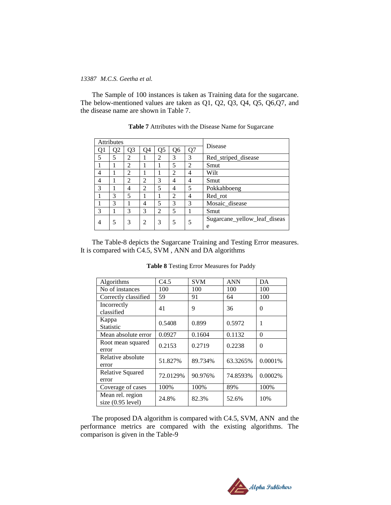The Sample of 100 instances is taken as Training data for the sugarcane. The below-mentioned values are taken as Q1, Q2, Q3, Q4, Q5, Q6,Q7, and the disease name are shown in Table 7.

|   | <b>Attributes</b> |                             |                |                |                          |                |                                   |
|---|-------------------|-----------------------------|----------------|----------------|--------------------------|----------------|-----------------------------------|
|   | O2                | Q3                          | O4             | Q5             | Q6                       | Q7             | Disease                           |
| 5 | 5                 | 2                           |                | $\overline{2}$ | 3                        | 3              | Red_striped_disease               |
|   |                   | $\mathfrak{D}$              |                |                | $\overline{\mathcal{L}}$ | $\overline{2}$ | Smut                              |
| 4 |                   | $\mathcal{D}_{\mathcal{A}}$ |                |                | $\mathcal{D}$            | 4              | Wilt                              |
| 4 |                   | 2                           | $\overline{2}$ | 3              | 4                        | 4              | Smut                              |
| 3 |                   | 4                           | 2              | 5              | 4                        | 5              | Pokkahboeng                       |
|   | 3                 | 5                           |                |                | $\mathfrak{D}$           | 4              | Red_rot                           |
|   | 3                 |                             | 4              | 5              | 3                        | 3              | Mosaic_disease                    |
| 3 |                   | 3                           | 3              | $\overline{2}$ | 5                        |                | Smut                              |
| 4 | 5                 | 3                           | 2              | 3              | 5                        |                | Sugarcane_yellow_leaf_diseas<br>e |

**Table 7** Attributes with the Disease Name for Sugarcane

The Table-8 depicts the Sugarcane Training and Testing Error measures. It is compared with C4.5, SVM , ANN and DA algorithms

| Algorithms                              | C4.5     | <b>SVM</b> | <b>ANN</b> | DA       |
|-----------------------------------------|----------|------------|------------|----------|
| No of instances                         | 100      | 100        | 100        | 100      |
| Correctly classified                    | 59       | 91         | 64         | 100      |
| Incorrectly<br>classified               | 41       | 9          | 36         | $\Omega$ |
| Kappa<br><b>Statistic</b>               | 0.5408   | 0.899      | 0.5972     | 1        |
| Mean absolute error                     | 0.0927   | 0.1604     | 0.1132     | $\Omega$ |
| Root mean squared<br>error              | 0.2153   | 0.2719     | 0.2238     | $\Omega$ |
| Relative absolute<br>error              | 51.827%  | 89.734%    | 63.3265%   | 0.0001%  |
| Relative Squared<br>error               | 72.0129% | 90.976%    | 74.8593%   | 0.0002%  |
| Coverage of cases                       | 100%     | 100%       | 89%        | 100%     |
| Mean rel. region<br>size $(0.95$ level) | 24.8%    | 82.3%      | 52.6%      | 10%      |

**Table 8** Testing Error Measures for Paddy

The proposed DA algorithm is compared with C4.5, SVM, ANN and the performance metrics are compared with the existing algorithms. The comparison is given in the Table-9

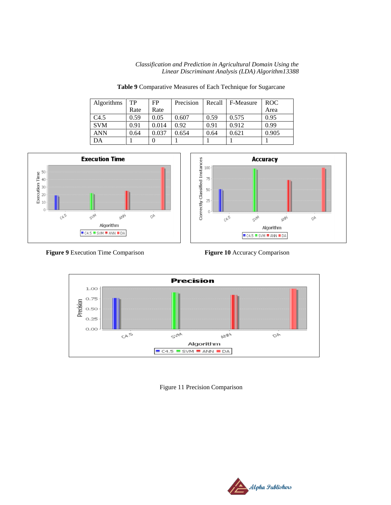*Classification and Prediction in Agricultural Domain Using the Linear Discriminant Analysis (LDA) Algorithm13388*

| <b>Algorithms</b> | TP   | FP    | Precision | Recall | F-Measure | <b>ROC</b> |
|-------------------|------|-------|-----------|--------|-----------|------------|
|                   | Rate | Rate  |           |        |           | Area       |
| C4.5              | 0.59 | 0.05  | 0.607     | 0.59   | 0.575     | 0.95       |
| <b>SVM</b>        | 0.91 | 0.014 | 0.92      | 0.91   | 0.912     | 0.99       |
| ANN               | 0.64 | 0.037 | 0.654     | 0.64   | 0.621     | 0.905      |
| DA                |      |       |           |        |           |            |

**Table 9** Comparative Measures of Each Technique for Sugarcane









Figure 11 Precision Comparison

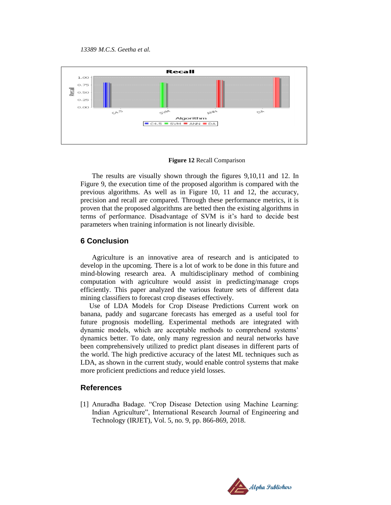

**Figure 12** Recall Comparison

The results are visually shown through the figures 9,10,11 and 12. In Figure 9, the execution time of the proposed algorithm is compared with the previous algorithms. As well as in Figure 10, 11 and 12, the accuracy, precision and recall are compared. Through these performance metrics, it is proven that the proposed algorithms are betted then the existing algorithms in terms of performance. Disadvantage of SVM is it's hard to decide best parameters when training information is not linearly divisible.

#### **6 Conclusion**

Agriculture is an innovative area of research and is anticipated to develop in the upcoming. There is a lot of work to be done in this future and mind-blowing research area. A multidisciplinary method of combining computation with agriculture would assist in predicting/manage crops efficiently. This paper analyzed the various feature sets of different data mining classifiers to forecast crop diseases effectively.

 Use of LDA Models for Crop Disease Predictions Current work on banana, paddy and sugarcane forecasts has emerged as a useful tool for future prognosis modelling. Experimental methods are integrated with dynamic models, which are acceptable methods to comprehend systems' dynamics better. To date, only many regression and neural networks have been comprehensively utilized to predict plant diseases in different parts of the world. The high predictive accuracy of the latest ML techniques such as LDA, as shown in the current study, would enable control systems that make more proficient predictions and reduce yield losses.

## **References**

[1] Anuradha Badage. "Crop Disease Detection using Machine Learning: Indian Agriculture", International Research Journal of Engineering and Technology (IRJET), Vol. 5, no. 9, pp. 866-869, 2018.

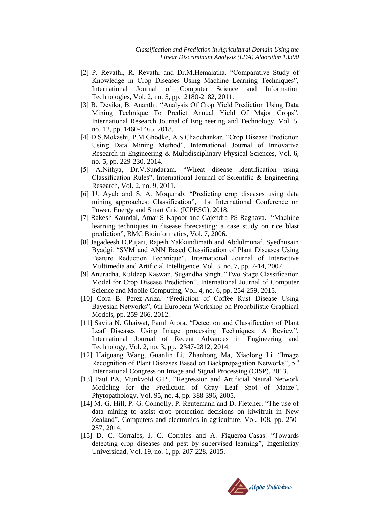- [2] P. Revathi, R. Revathi and Dr.M.Hemalatha. "Comparative Study of Knowledge in Crop Diseases Using Machine Learning Techniques", International Journal of Computer Science and Information Technologies, Vol. 2, no. 5, pp. 2180-2182, 2011.
- [3] B. Devika, B. Ananthi. "Analysis Of Crop Yield Prediction Using Data Mining Technique To Predict Annual Yield Of Major Crops", International Research Journal of Engineering and Technology, Vol. 5, no. 12, pp. 1460-1465, 2018.
- [4] D.S.Mokashi, P.M.Ghodke, A.S.Chadchankar. "Crop Disease Prediction Using Data Mining Method", International Journal of Innovative Research in Engineering & Multidisciplinary Physical Sciences, Vol. 6, no. 5, pp. 229-230, 2014.
- [5] A.Nithya, Dr.V.Sundaram. "Wheat disease identification using Classification Rules", International Journal of Scientific & Engineering Research, Vol. 2, no. 9, 2011.
- [6] U. Ayub and S. A. Moqurrab. "Predicting crop diseases using data mining approaches: Classification", 1st International Conference on Power, Energy and Smart Grid (ICPESG), 2018.
- [7] Rakesh Kaundal, Amar S Kapoor and Gajendra PS Raghava. "Machine learning techniques in disease forecasting: a case study on rice blast prediction", BMC Bioinformatics, Vol. 7, 2006.
- [8] Jagadeesh D.Pujari, Rajesh Yakkundimath and Abdulmunaf. Syedhusain Byadgi. "SVM and ANN Based Classification of Plant Diseases Using Feature Reduction Technique", International Journal of Interactive Multimedia and Artificial Intelligence, Vol. 3, no. 7, pp. 7-14, 2007.
- [9] Anuradha, Kuldeep Kaswan, Sugandha Singh. "Two Stage Classification Model for Crop Disease Prediction", International Journal of Computer Science and Mobile Computing, Vol. 4, no. 6, pp. 254-259, 2015.
- [10] Cora B. Perez-Ariza. "Prediction of Coffee Rust Disease Using Bayesian Networks", 6th European Workshop on Probabilistic Graphical Models, pp. 259-266, 2012.
- [11] Savita N. Ghaiwat, Parul Arora. "Detection and Classification of Plant Leaf Diseases Using Image processing Techniques: A Review", International Journal of Recent Advances in Engineering and Technology, Vol. 2, no. 3, pp. 2347-2812, 2014.
- [12] Haiguang Wang, Guanlin Li, Zhanhong Ma, Xiaolong Li. "Image Recognition of Plant Diseases Based on Backpropagation Networks",  $5<sup>th</sup>$ International Congress on Image and Signal Processing (CISP), 2013.
- [13] Paul PA, Munkvold G.P., "Regression and Artificial Neural Network Modeling for the Prediction of Gray Leaf Spot of Maize", Phytopathology, Vol. 95, no. 4, pp. 388-396, 2005.
- [14] M. G. Hill, P. G. Connolly, P. Reutemann and D. Fletcher. "The use of data mining to assist crop protection decisions on kiwifruit in New Zealand", Computers and electronics in agriculture, Vol. 108, pp. 250- 257, 2014.
- [15] D. C. Corrales, J. C. Corrales and A. Figueroa-Casas. "Towards" detecting crop diseases and pest by supervised learning", Ingenieríay Universidad, Vol. 19, no. 1, pp. 207-228, 2015.

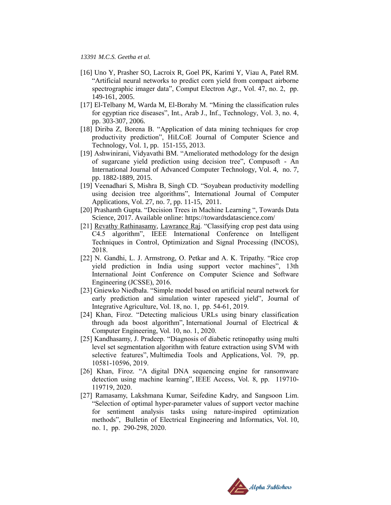- [16] Uno Y, Prasher SO, Lacroix R, Goel PK, Karimi Y, Viau A, Patel RM. "Artificial neural networks to predict corn yield from compact airborne spectrographic imager data", Comput Electron Agr., Vol. 47, no. 2, pp. 149-161, 2005.
- [17] El-Telbany M, Warda M, El-Borahy M. "Mining the classification rules for egyptian rice diseases", Int., Arab J., Inf., Technology, Vol. 3, no. 4, pp. 303-307, 2006.
- [18] Diriba Z, Borena B. "Application of data mining techniques for crop productivity prediction", HiLCoE Journal of Computer Science and Technology, Vol. 1, pp. 151-155, 2013.
- [19] Ashwinirani, Vidyavathi BM. "Ameliorated methodology for the design of sugarcane yield prediction using decision tree", Compusoft - An International Journal of Advanced Computer Technology, Vol. 4, no. 7, pp. 1882-1889, 2015.
- [19] Veenadhari S, Mishra B, Singh CD. "Soyabean productivity modelling using decision tree algorithms", International Journal of Computer Applications, Vol. 27, no. 7, pp. 11-15, 2011.
- [20] Prashanth Gupta. "Decision Trees in Machine Learning ", Towards Data Science, 2017. Available online: https://towardsdatascience.com/
- [21] Revathy [Rathinasamy,](https://www.researchgate.net/profile/Revathy_Rathinasamy) [Lawrance](https://www.researchgate.net/profile/Lawrance_Raj) Raj. "Classifying crop pest data using C4.5 algorithm", IEEE International Conference on Intelligent Techniques in Control, Optimization and Signal Processing (INCOS), 2018.
- [22] N. Gandhi, L. J. Armstrong, O. Petkar and A. K. Tripathy. "Rice crop yield prediction in India using support vector machines", 13th International Joint Conference on Computer Science and Software Engineering (JCSSE), 2016.
- [23] [Gniewko Niedbała.](https://www.sciencedirect.com/science/article/pii/S2095311918621100#!) "Simple model based on artificial neural network for early prediction and simulation winter rapeseed yield", [Journal of](https://www.sciencedirect.com/science/journal/20953119)  [Integrative Agriculture,](https://www.sciencedirect.com/science/journal/20953119) [Vol. 18, no. 1,](https://www.sciencedirect.com/science/journal/20953119/18/1) pp. 54-61, 2019.
- [24] Khan, Firoz. "Detecting malicious URLs using binary classification through ada boost algorithm", International Journal of Electrical & Computer Engineering, Vol. 10, no. 1, 2020.
- [25] Kandhasamy, J. Pradeep. "Diagnosis of diabetic retinopathy using multi level set segmentation algorithm with feature extraction using SVM with selective features", Multimedia Tools and Applications, Vol. 79, pp. 10581-10596, 2019.
- [26] Khan, Firoz. "A digital DNA sequencing engine for ransomware detection using machine learning", IEEE Access, Vol. 8, pp. 119710- 119719, 2020.
- [27] Ramasamy, Lakshmana Kumar, Seifedine Kadry, and Sangsoon Lim. "Selection of optimal hyper-parameter values of support vector machine for sentiment analysis tasks using nature-inspired optimization methods", Bulletin of Electrical Engineering and Informatics, Vol. 10, no. 1, pp. 290-298, 2020.